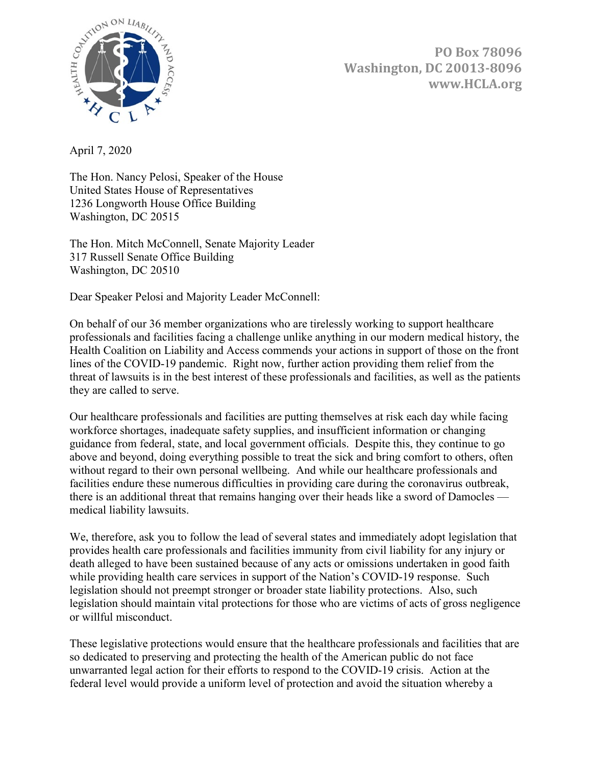

**PO Box 78096 Washington, DC 20013-8096 www.HCLA.org**

April 7, 2020

The Hon. Nancy Pelosi, Speaker of the House United States House of Representatives 1236 Longworth House Office Building Washington, DC 20515

The Hon. Mitch McConnell, Senate Majority Leader 317 Russell Senate Office Building Washington, DC 20510

Dear Speaker Pelosi and Majority Leader McConnell:

On behalf of our 36 member organizations who are tirelessly working to support healthcare professionals and facilities facing a challenge unlike anything in our modern medical history, the Health Coalition on Liability and Access commends your actions in support of those on the front lines of the COVID-19 pandemic. Right now, further action providing them relief from the threat of lawsuits is in the best interest of these professionals and facilities, as well as the patients they are called to serve.

Our healthcare professionals and facilities are putting themselves at risk each day while facing workforce shortages, inadequate safety supplies, and insufficient information or changing guidance from federal, state, and local government officials. Despite this, they continue to go above and beyond, doing everything possible to treat the sick and bring comfort to others, often without regard to their own personal wellbeing. And while our healthcare professionals and facilities endure these numerous difficulties in providing care during the coronavirus outbreak, there is an additional threat that remains hanging over their heads like a sword of Damocles medical liability lawsuits.

We, therefore, ask you to follow the lead of several states and immediately adopt legislation that provides health care professionals and facilities immunity from civil liability for any injury or death alleged to have been sustained because of any acts or omissions undertaken in good faith while providing health care services in support of the Nation's COVID-19 response. Such legislation should not preempt stronger or broader state liability protections. Also, such legislation should maintain vital protections for those who are victims of acts of gross negligence or willful misconduct.

These legislative protections would ensure that the healthcare professionals and facilities that are so dedicated to preserving and protecting the health of the American public do not face unwarranted legal action for their efforts to respond to the COVID-19 crisis. Action at the federal level would provide a uniform level of protection and avoid the situation whereby a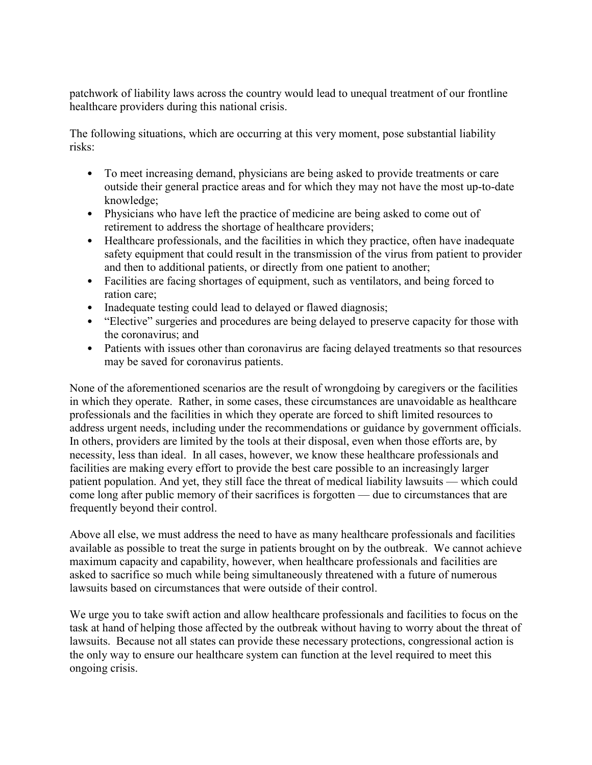patchwork of liability laws across the country would lead to unequal treatment of our frontline healthcare providers during this national crisis.

The following situations, which are occurring at this very moment, pose substantial liability risks:

- To meet increasing demand, physicians are being asked to provide treatments or care outside their general practice areas and for which they may not have the most up-to-date knowledge;
- Physicians who have left the practice of medicine are being asked to come out of retirement to address the shortage of healthcare providers;
- Healthcare professionals, and the facilities in which they practice, often have inadequate safety equipment that could result in the transmission of the virus from patient to provider and then to additional patients, or directly from one patient to another;
- Facilities are facing shortages of equipment, such as ventilators, and being forced to ration care;
- Inadequate testing could lead to delayed or flawed diagnosis;
- "Elective" surgeries and procedures are being delayed to preserve capacity for those with the coronavirus; and
- Patients with issues other than coronavirus are facing delayed treatments so that resources may be saved for coronavirus patients.

None of the aforementioned scenarios are the result of wrongdoing by caregivers or the facilities in which they operate. Rather, in some cases, these circumstances are unavoidable as healthcare professionals and the facilities in which they operate are forced to shift limited resources to address urgent needs, including under the recommendations or guidance by government officials. In others, providers are limited by the tools at their disposal, even when those efforts are, by necessity, less than ideal. In all cases, however, we know these healthcare professionals and facilities are making every effort to provide the best care possible to an increasingly larger patient population. And yet, they still face the threat of medical liability lawsuits — which could come long after public memory of their sacrifices is forgotten — due to circumstances that are frequently beyond their control.

Above all else, we must address the need to have as many healthcare professionals and facilities available as possible to treat the surge in patients brought on by the outbreak. We cannot achieve maximum capacity and capability, however, when healthcare professionals and facilities are asked to sacrifice so much while being simultaneously threatened with a future of numerous lawsuits based on circumstances that were outside of their control.

We urge you to take swift action and allow healthcare professionals and facilities to focus on the task at hand of helping those affected by the outbreak without having to worry about the threat of lawsuits. Because not all states can provide these necessary protections, congressional action is the only way to ensure our healthcare system can function at the level required to meet this ongoing crisis.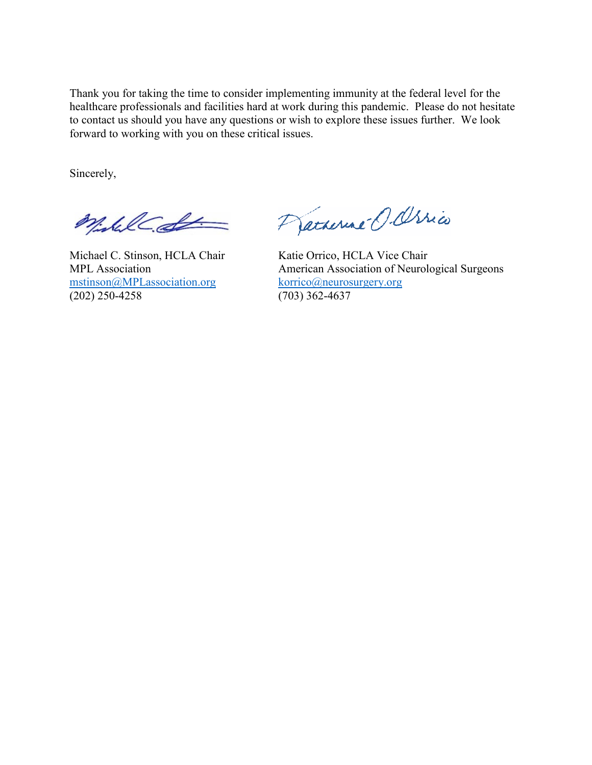Thank you for taking the time to consider implementing immunity at the federal level for the healthcare professionals and facilities hard at work during this pandemic. Please do not hesitate to contact us should you have any questions or wish to explore these issues further. We look forward to working with you on these critical issues.

Sincerely,

Wishel de

Michael C. Stinson, HCLA Chair Katie Orrico, HCLA Vice Chair [mstinson@MPLassociation.org](mailto:mstinson@MPLassociation.org) korrico@neuros<br>(202) 250-4258 (703) 362-4637  $(202)$  250-4258

Pracherine O. Ossico

MPL Association<br>
mstinson@MPLassociation.org<br>
korrico@neurosurgery.org<br>
korrico@neurosurgery.org